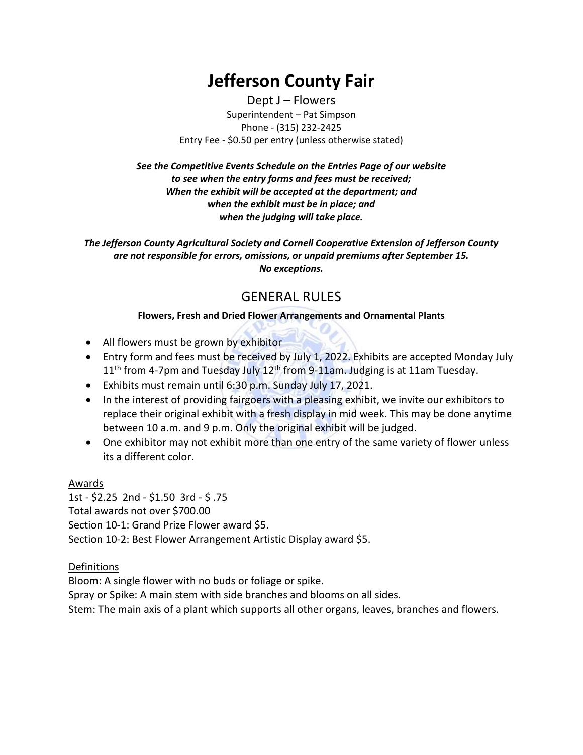# **Jefferson County Fair**

Dept J – Flowers Superintendent – Pat Simpson Phone - (315) 232-2425 Entry Fee - \$0.50 per entry (unless otherwise stated)

*See the Competitive Events Schedule on the Entries Page of our website to see when the entry forms and fees must be received; When the exhibit will be accepted at the department; and when the exhibit must be in place; and when the judging will take place.*

*The Jefferson County Agricultural Society and Cornell Cooperative Extension of Jefferson County are not responsible for errors, omissions, or unpaid premiums after September 15. No exceptions.*

### GENERAL RULES

### **Flowers, Fresh and Dried Flower Arrangements and Ornamental Plants**

- All flowers must be grown by exhibitor
- Entry form and fees must be received by July 1, 2022. Exhibits are accepted Monday July 11<sup>th</sup> from 4-7pm and Tuesday July 12<sup>th</sup> from 9-11am. Judging is at 11am Tuesday.
- Exhibits must remain until 6:30 p.m. Sunday July 17, 2021.
- In the interest of providing fairgoers with a pleasing exhibit, we invite our exhibitors to replace their original exhibit with a fresh display in mid week. This may be done anytime between 10 a.m. and 9 p.m. Only the original exhibit will be judged.
- One exhibitor may not exhibit more than one entry of the same variety of flower unless its a different color.

#### Awards

1st - \$2.25 2nd - \$1.50 3rd - \$ .75 Total awards not over \$700.00 Section 10-1: Grand Prize Flower award \$5. Section 10-2: Best Flower Arrangement Artistic Display award \$5.

### Definitions

Bloom: A single flower with no buds or foliage or spike. Spray or Spike: A main stem with side branches and blooms on all sides. Stem: The main axis of a plant which supports all other organs, leaves, branches and flowers.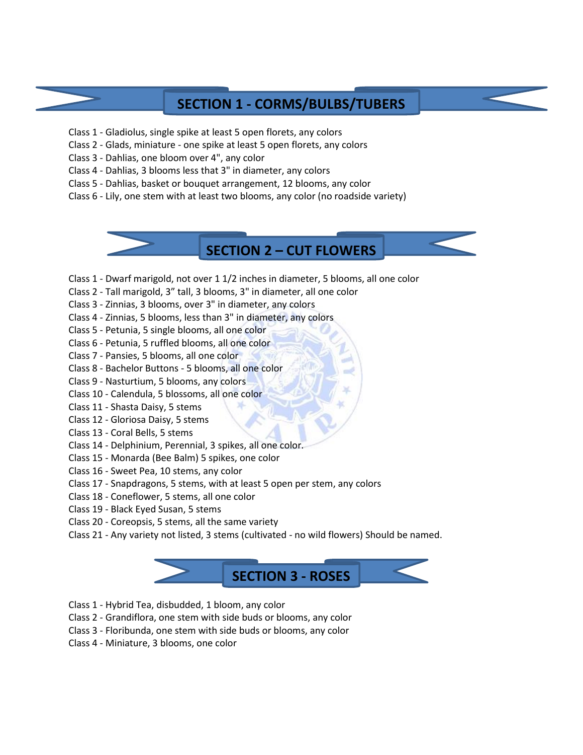### **SECTION 1 - CORMS/BULBS/TUBERS**

- Class 1 Gladiolus, single spike at least 5 open florets, any colors
- Class 2 Glads, miniature one spike at least 5 open florets, any colors
- Class 3 Dahlias, one bloom over 4", any color
- Class 4 Dahlias, 3 blooms less that 3" in diameter, any colors
- Class 5 Dahlias, basket or bouquet arrangement, 12 blooms, any color
- Class 6 Lily, one stem with at least two blooms, any color (no roadside variety)

**SECTION 2 – CUT FLOWERS**

- Class 1 Dwarf marigold, not over 1 1/2 inches in diameter, 5 blooms, all one color
- Class 2 Tall marigold, 3" tall, 3 blooms, 3" in diameter, all one color
- Class 3 Zinnias, 3 blooms, over 3" in diameter, any colors
- Class 4 Zinnias, 5 blooms, less than 3" in diameter, any colors
- Class 5 Petunia, 5 single blooms, all one color
- Class 6 Petunia, 5 ruffled blooms, all one color
- Class 7 Pansies, 5 blooms, all one color
- Class 8 Bachelor Buttons 5 blooms, all one color
- Class 9 Nasturtium, 5 blooms, any colors
- Class 10 Calendula, 5 blossoms, all one color
- Class 11 Shasta Daisy, 5 stems
- Class 12 Gloriosa Daisy, 5 stems
- Class 13 Coral Bells, 5 stems
- Class 14 Delphinium, Perennial, 3 spikes, all one color.
- Class 15 Monarda (Bee Balm) 5 spikes, one color
- Class 16 Sweet Pea, 10 stems, any color
- Class 17 Snapdragons, 5 stems, with at least 5 open per stem, any colors
- Class 18 Coneflower, 5 stems, all one color
- Class 19 Black Eyed Susan, 5 stems
- Class 20 Coreopsis, 5 stems, all the same variety
- Class 21 Any variety not listed, 3 stems (cultivated no wild flowers) Should be named.



- Class 1 Hybrid Tea, disbudded, 1 bloom, any color
- Class 2 Grandiflora, one stem with side buds or blooms, any color
- Class 3 Floribunda, one stem with side buds or blooms, any color
- Class 4 Miniature, 3 blooms, one color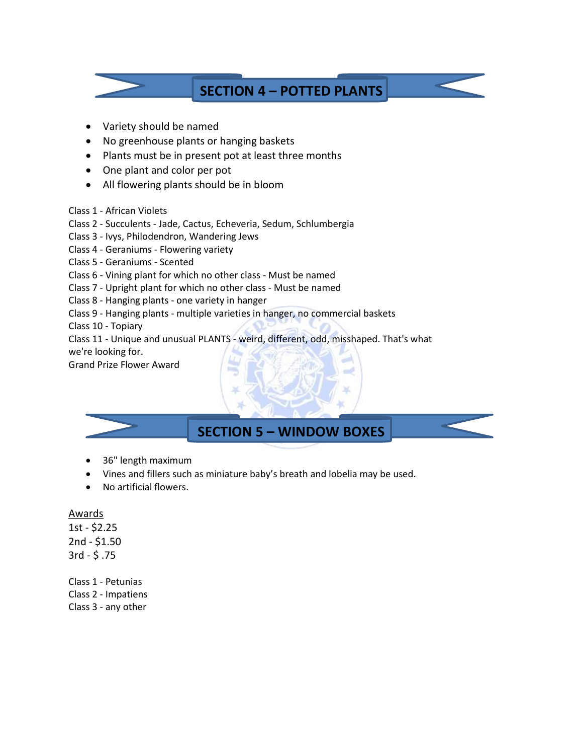

- Variety should be named
- No greenhouse plants or hanging baskets
- Plants must be in present pot at least three months
- One plant and color per pot
- All flowering plants should be in bloom
- Class 1 African Violets
- Class 2 Succulents Jade, Cactus, Echeveria, Sedum, Schlumbergia
- Class 3 Ivys, Philodendron, Wandering Jews
- Class 4 Geraniums Flowering variety
- Class 5 Geraniums Scented
- Class 6 Vining plant for which no other class Must be named
- Class 7 Upright plant for which no other class Must be named
- Class 8 Hanging plants one variety in hanger
- Class 9 Hanging plants multiple varieties in hanger, no commercial baskets
- Class 10 Topiary
- Class 11 Unique and unusual PLANTS weird, different, odd, misshaped. That's what

we're looking for.

Grand Prize Flower Award



- 36" length maximum
- Vines and fillers such as miniature baby's breath and lobelia may be used.
- No artificial flowers.

#### **Awards**

1st - \$2.25 2nd - \$1.50 3rd - \$ .75

Class 1 - Petunias Class 2 - Impatiens Class 3 - any other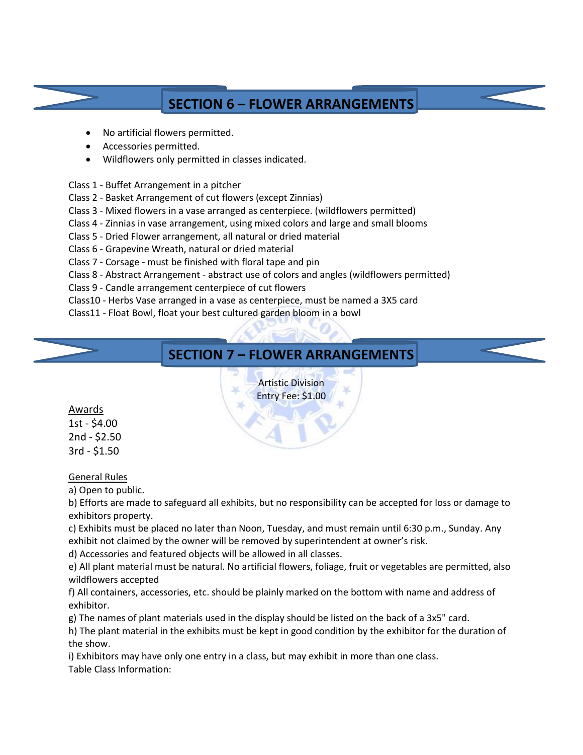## **SECTION 6 – FLOWER ARRANGEMENTS**

- No artificial flowers permitted.
- Accessories permitted.
- Wildflowers only permitted in classes indicated.
- Class 1 Buffet Arrangement in a pitcher
- Class 2 Basket Arrangement of cut flowers (except Zinnias)
- Class 3 Mixed flowers in a vase arranged as centerpiece. (wildflowers permitted)
- Class 4 Zinnias in vase arrangement, using mixed colors and large and small blooms
- Class 5 Dried Flower arrangement, all natural or dried material
- Class 6 Grapevine Wreath, natural or dried material
- Class 7 Corsage must be finished with floral tape and pin
- Class 8 Abstract Arrangement abstract use of colors and angles (wildflowers permitted)
- Class 9 Candle arrangement centerpiece of cut flowers
- Class10 Herbs Vase arranged in a vase as centerpiece, must be named a 3X5 card
- Class11 Float Bowl, float your best cultured garden bloom in a bowl

### **SECTION 7 – FLOWER ARRANGEMENTS**

Artistic Division Entry Fee: \$1.00

Awards

1st - \$4.00 2nd - \$2.50 3rd - \$1.50

General Rules

a) Open to public.

b) Efforts are made to safeguard all exhibits, but no responsibility can be accepted for loss or damage to exhibitors property.

c) Exhibits must be placed no later than Noon, Tuesday, and must remain until 6:30 p.m., Sunday. Any exhibit not claimed by the owner will be removed by superintendent at owner's risk.

d) Accessories and featured objects will be allowed in all classes.

e) All plant material must be natural. No artificial flowers, foliage, fruit or vegetables are permitted, also wildflowers accepted

f) All containers, accessories, etc. should be plainly marked on the bottom with name and address of exhibitor.

g) The names of plant materials used in the display should be listed on the back of a 3x5" card.

h) The plant material in the exhibits must be kept in good condition by the exhibitor for the duration of the show.

i) Exhibitors may have only one entry in a class, but may exhibit in more than one class. Table Class Information: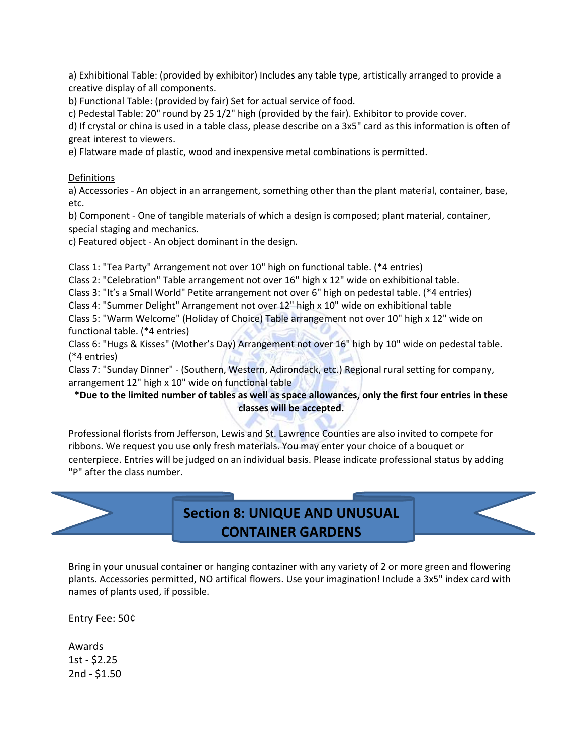a) Exhibitional Table: (provided by exhibitor) Includes any table type, artistically arranged to provide a creative display of all components.

b) Functional Table: (provided by fair) Set for actual service of food.

c) Pedestal Table: 20" round by 25 1/2" high (provided by the fair). Exhibitor to provide cover.

d) If crystal or china is used in a table class, please describe on a 3x5" card as this information is often of great interest to viewers.

e) Flatware made of plastic, wood and inexpensive metal combinations is permitted.

#### Definitions

a) Accessories - An object in an arrangement, something other than the plant material, container, base, etc.

b) Component - One of tangible materials of which a design is composed; plant material, container, special staging and mechanics.

c) Featured object - An object dominant in the design.

Class 1: "Tea Party" Arrangement not over 10" high on functional table. (\*4 entries)

Class 2: "Celebration" Table arrangement not over 16" high x 12" wide on exhibitional table.

Class 3: "It's a Small World" Petite arrangement not over 6" high on pedestal table. (\*4 entries)

Class 4: "Summer Delight" Arrangement not over 12" high x 10" wide on exhibitional table

Class 5: "Warm Welcome" (Holiday of Choice) Table arrangement not over 10" high x 12" wide on functional table. (\*4 entries)

Class 6: "Hugs & Kisses" (Mother's Day) Arrangement not over 16" high by 10" wide on pedestal table. (\*4 entries)

Class 7: "Sunday Dinner" - (Southern, Western, Adirondack, etc.) Regional rural setting for company, arrangement 12" high x 10" wide on functional table

#### **\*Due to the limited number of tables as well as space allowances, only the first four entries in these classes will be accepted.**

Professional florists from Jefferson, Lewis and St. Lawrence Counties are also invited to compete for ribbons. We request you use only fresh materials. You may enter your choice of a bouquet or centerpiece. Entries will be judged on an individual basis. Please indicate professional status by adding "P" after the class number.



Bring in your unusual container or hanging contaziner with any variety of 2 or more green and flowering plants. Accessories permitted, NO artifical flowers. Use your imagination! Include a 3x5" index card with names of plants used, if possible.

Entry Fee: 50¢

Awards 1st - \$2.25 2nd - \$1.50